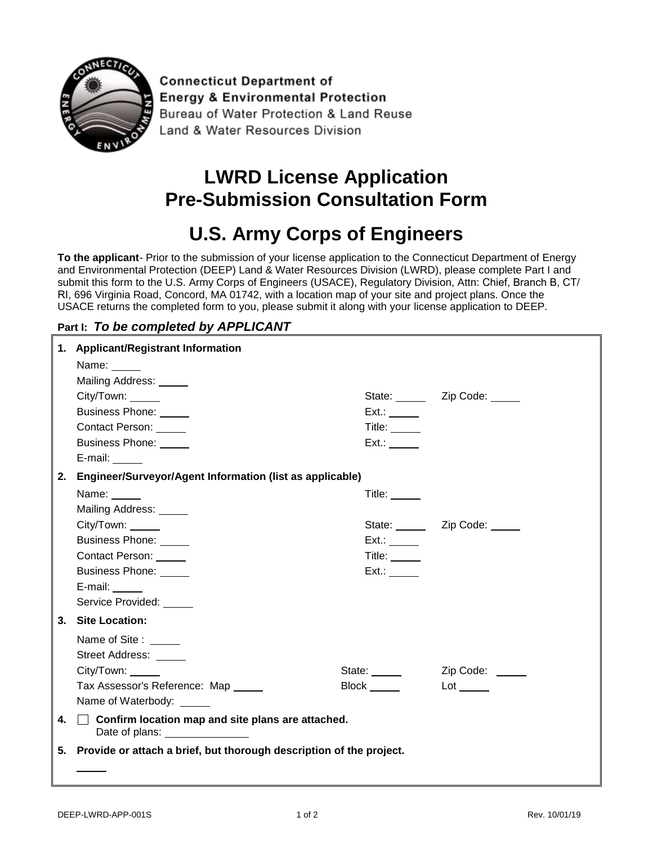

**Connecticut Department of Energy & Environmental Protection** Bureau of Water Protection & Land Reuse Land & Water Resources Division

## **LWRD License Application Pre-Submission Consultation Form**

## **U.S. Army Corps of Engineers**

**To the applicant**- Prior to the submission of your license application to the Connecticut Department of Energy and Environmental Protection (DEEP) Land & Water Resources Division (LWRD), please complete Part I and submit this form to the U.S. Army Corps of Engineers (USACE), Regulatory Division, Attn: Chief, Branch B, CT/ RI, 696 Virginia Road, Concord, MA 01742, with a location map of your site and project plans. Once the USACE returns the completed form to you, please submit it along with your license application to DEEP.

## **Part I:** *To be completed by APPLICANT*

|    | 1. Applicant/Registrant Information                                                                                   |               |                         |
|----|-----------------------------------------------------------------------------------------------------------------------|---------------|-------------------------|
|    | Name: _____                                                                                                           |               |                         |
|    | Mailing Address: _____                                                                                                |               |                         |
|    | City/Town: ______                                                                                                     |               | State: <u>Zip Code:</u> |
|    | Business Phone: _____                                                                                                 | $Ext.$ :      |                         |
|    | <b>Contact Person:</b>                                                                                                | Title: $\_\_$ |                         |
|    | Business Phone: _____                                                                                                 | Ext.:         |                         |
|    | E-mail:                                                                                                               |               |                         |
|    | 2. Engineer/Surveyor/Agent Information (list as applicable)                                                           |               |                         |
|    | Name: $\frac{1}{\sqrt{1-\frac{1}{2}}\sqrt{1-\frac{1}{2}}\sqrt{1-\frac{1}{2}}\sqrt{1-\frac{1}{2}}\sqrt{1-\frac{1}{2}}$ | Title: $\_\_$ |                         |
|    | Mailing Address: _____                                                                                                |               |                         |
|    | City/Town: _____                                                                                                      |               | State: <u>Zip Code:</u> |
|    | Business Phone: _____                                                                                                 | Ext.:         |                         |
|    | Contact Person: _____                                                                                                 | Title: $\_\_$ |                         |
|    | Business Phone: _____                                                                                                 | Ext.:         |                         |
|    | E-mail:                                                                                                               |               |                         |
|    | Service Provided: _____                                                                                               |               |                         |
|    | 3. Site Location:                                                                                                     |               |                         |
|    | Name of Site : _____                                                                                                  |               |                         |
|    | Street Address: _____                                                                                                 |               |                         |
|    | City/Town:                                                                                                            | State:        | Zip Code:               |
|    | Tax Assessor's Reference: Map _____                                                                                   | Block _____   | $Lot \_\_$              |
|    | Name of Waterbody: _____                                                                                              |               |                         |
| 4. | $\Box$ Confirm location map and site plans are attached.                                                              |               |                         |
|    | 5. Provide or attach a brief, but thorough description of the project.                                                |               |                         |
|    |                                                                                                                       |               |                         |